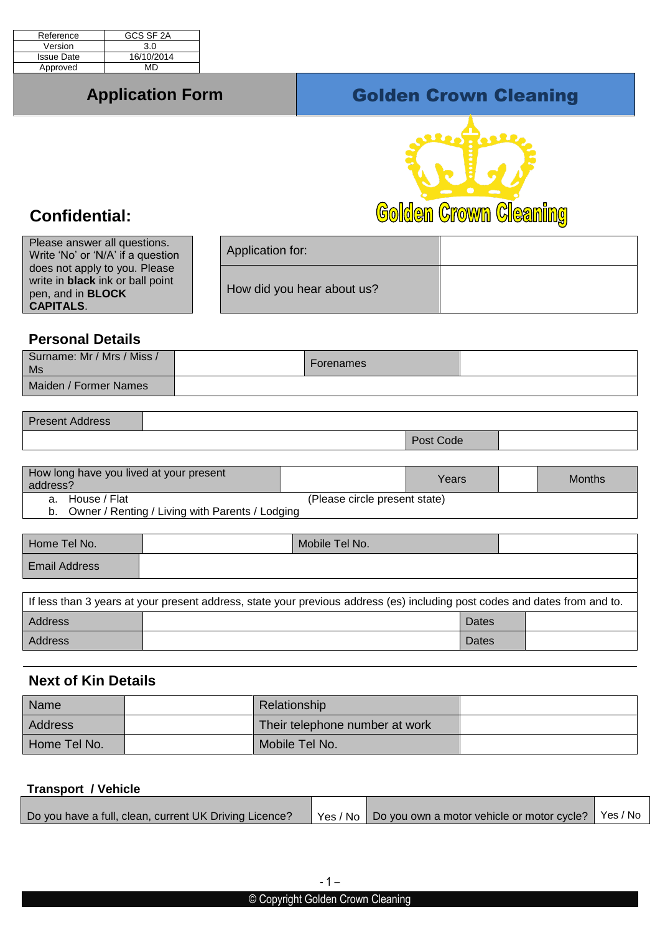| Reference         | GCS SF 2A  |
|-------------------|------------|
| Version           | 3.0        |
| <b>Issue Date</b> | 16/10/2014 |
| Approved          | MD         |

# **Application Form Colden Crown Cleaning**



# **Confidential:**

Please answer all questions. Write 'No' or 'N/A' if a question does not apply to you. Please write in **black** ink or ball point pen, and in **BLOCK CAPITALS**. Application for: How did you hear about us?

## **Personal Details**

| Surname: Mr / Mrs / Miss /<br>Ms | Forenames |  |
|----------------------------------|-----------|--|
| Maiden / Former Names            |           |  |

Present Address

| <b>Post Code</b> |  |
|------------------|--|
|                  |  |

|                                                    | How long have you lived at your present<br>address? |  | Years | Months |
|----------------------------------------------------|-----------------------------------------------------|--|-------|--------|
|                                                    | a. House / Flat<br>(Please circle present state)    |  |       |        |
| b. Owner / Renting / Living with Parents / Lodging |                                                     |  |       |        |

| Home Tel No.         | Mobile Tel No.                                                                                                             |  |
|----------------------|----------------------------------------------------------------------------------------------------------------------------|--|
| <b>Email Address</b> |                                                                                                                            |  |
|                      |                                                                                                                            |  |
|                      | If less than 3 years at your present address, state your previous address (es) including post codes and dates from and to. |  |
| Address              | Dates                                                                                                                      |  |

Address and Dates and Dates and Dates and Dates and Dates and Dates and Dates and Dates and Dates and Dates and Dates

## **Next of Kin Details**

| Name           | <b>Relationship</b>            |  |
|----------------|--------------------------------|--|
| <b>Address</b> | Their telephone number at work |  |
| Home Tel No.   | Mobile Tel No.                 |  |

#### **Transport / Vehicle**

| Yes / No Do you own a motor vehicle or motor cycle?   Yes / No<br>Do you have a full, clean, current UK Driving Licence? |  |  |  |  |
|--------------------------------------------------------------------------------------------------------------------------|--|--|--|--|
|--------------------------------------------------------------------------------------------------------------------------|--|--|--|--|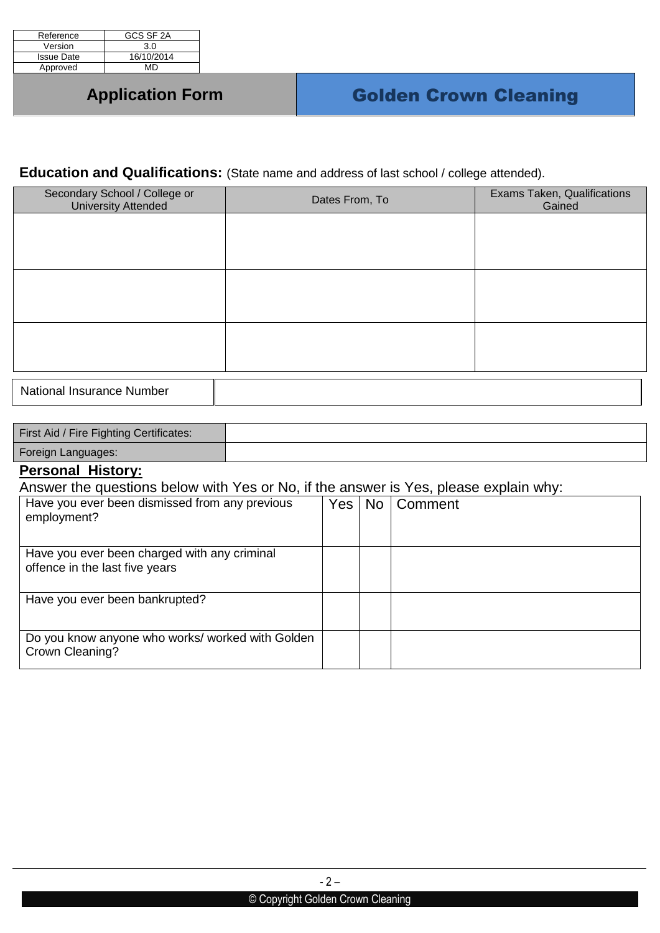| Reference         | GCS SF 2A  |
|-------------------|------------|
| Version           | 3.0        |
| <b>Issue Date</b> | 16/10/2014 |
| Approved          | MD         |

## **Education and Qualifications:** (State name and address of last school / college attended).

| Secondary School / College or<br><b>University Attended</b> | Dates From, To | Exams Taken, Qualifications<br>Gained |
|-------------------------------------------------------------|----------------|---------------------------------------|
|                                                             |                |                                       |
|                                                             |                |                                       |
|                                                             |                |                                       |
|                                                             |                |                                       |
|                                                             |                |                                       |
|                                                             |                |                                       |
| <b>National Insurance Number</b>                            |                |                                       |

| First Aid / Fire Fighting Certificates: |  |
|-----------------------------------------|--|
| Foreign Languages:                      |  |

### **Personal History:**

Answer the questions below with Yes or No, if the answer is Yes, please explain why:

| employment?                    | Have you ever been dismissed from any previous   | Yes I | No   Comment |  |
|--------------------------------|--------------------------------------------------|-------|--------------|--|
| offence in the last five years | Have you ever been charged with any criminal     |       |              |  |
|                                | Have you ever been bankrupted?                   |       |              |  |
| Crown Cleaning?                | Do you know anyone who works/ worked with Golden |       |              |  |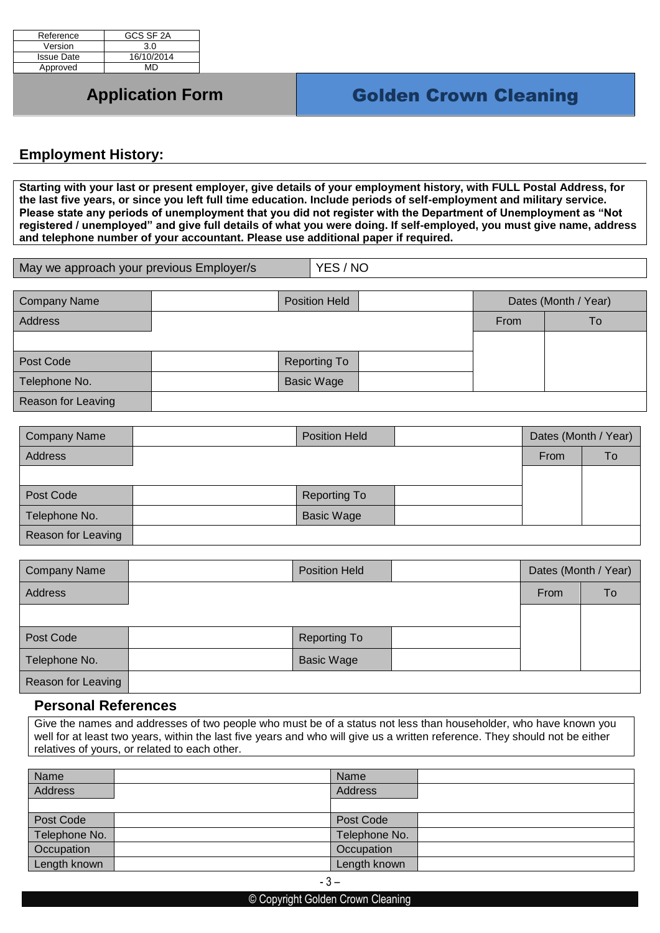| Reference         | GCS SF 2A  |
|-------------------|------------|
| Version           | 3.0        |
| <b>Issue Date</b> | 16/10/2014 |
| Approved          | MD         |

### **Employment History:**

**Starting with your last or present employer, give details of your employment history, with FULL Postal Address, for the last five years, or since you left full time education. Include periods of self-employment and military service. Please state any periods of unemployment that you did not register with the Department of Unemployment as "Not registered / unemployed" and give full details of what you were doing. If self-employed, you must give name, address and telephone number of your accountant. Please use additional paper if required.**

| May we approach your previous Employer/s | YES / NO |
|------------------------------------------|----------|
|                                          |          |

| <b>Company Name</b> | <b>Position Held</b> | Dates (Month / Year) |     |
|---------------------|----------------------|----------------------|-----|
| Address             |                      | From                 | To. |
|                     |                      |                      |     |
| Post Code           | <b>Reporting To</b>  |                      |     |
| Telephone No.       | <b>Basic Wage</b>    |                      |     |
| Reason for Leaving  |                      |                      |     |

| <b>Company Name</b> | <b>Position Held</b> |  | Dates (Month / Year) |    |
|---------------------|----------------------|--|----------------------|----|
| Address             |                      |  | From                 | To |
|                     |                      |  |                      |    |
| Post Code           | <b>Reporting To</b>  |  |                      |    |
| Telephone No.       | <b>Basic Wage</b>    |  |                      |    |
| Reason for Leaving  |                      |  |                      |    |

| <b>Company Name</b> | <b>Position Held</b> | Dates (Month / Year) |    |
|---------------------|----------------------|----------------------|----|
| <b>Address</b>      |                      | <b>From</b>          | To |
|                     |                      |                      |    |
| Post Code           | <b>Reporting To</b>  |                      |    |
| Telephone No.       | <b>Basic Wage</b>    |                      |    |
| Reason for Leaving  |                      |                      |    |

### **Personal References**

Give the names and addresses of two people who must be of a status not less than householder, who have known you well for at least two years, within the last five years and who will give us a written reference. They should not be either relatives of yours, or related to each other.

| Name              | Name          |  |
|-------------------|---------------|--|
| Address           | Address       |  |
|                   |               |  |
| Post Code         | Post Code     |  |
| Telephone No.     | Telephone No. |  |
| <b>Occupation</b> | Occupation    |  |
| Length known      | Length known  |  |